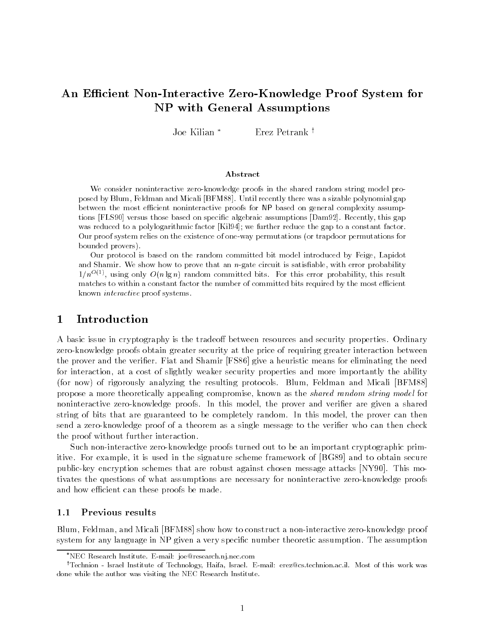# An Efficient Non-Interactive Zero-Knowledge Proof System for NP with General Assumptions

Joe Kilian \* Erez Petrank †

#### Abstract

We consider noninteractive zero-knowledge proofs in the shared random string model proposed by Blum Feldman and Micali -BFM Until recently there was a sizable polynomial gapbetween the most ecient noninteractive proofs for NP based on general complexity assump tions if bosel versus those based on specific algebraic assumptions (Damsz). Trecentry, this gap was reduced to a polylogarithmic factor in 1941. We further reduce the gap to a constant factor. Our proof system relies on the existence of oneway permutations 
or trapdoor permutations forbounded provers

Our protocol is based on the random committed bit model introduced by Feige Lapidotand Shamir We show how to prove that an  $n$ -gate circuit is satisfiable. With error probability  $\sim$  $1/n^{-1/2}$  , using only  $O(n/n)$  random committed bits for this error probability this result matches to within a constant factor the number of committed bits required by the most efficient known interactive proof systems

#### $\mathbf{1}$ Introduction

A basic issue in cryptography is the tradeoff between resources and security properties. Ordinary zero-knowledge proofs obtain greater security at the price of requiring greater interaction between the prover and the verifier. Fiat and Shamir [FS86] give a heuristic means for eliminating the need for interaction at a cost of slightly weaker security properties and more importantly the ability for now of rigorously analyzing the resulting protocols Blum Feldman and Micali BFM propose a more theoretically appealing compromise known as the shared random string model for noninteractive zero-knowledge proofs In this model the prover and verier are given a shared string of bits that are guaranteed to be completely random. In this model, the prover can then send a zero-knowledge proof of a theorem as a single message to the verier who can then check the proof without further interaction

Such non-interactive zero-knowledge proofs turned out to be an important cryptographic primitive. For example, it is used in the signature scheme framework of [BG89] and to obtain secure public-are the public schemes that are robust against the robust  $\mathcal{A}$  are robust  $\mathcal{A}$  and  $\mathcal{A}$  are  $\mathcal{A}$ tivates the questions of what assumptions are necessary for noninteractive zero-knowledge proofs and how efficient can these proofs be made.

#### $1.1$ Previous results

Blum Feldman and Micali BFM show how to construct a non-interactive zero-knowledge proof system for any language in NP given a very specific number theoretic assumption. The assumption

NEC Research Institute Email- joeresearchnjneccom

<sup>&#</sup>x27;Iechnion - Israel Institute of Technology, Haifa, Israel, E-mail: erez@cs.technion.ac.il. Most of this work was done while the author was visiting the NEC Research Institute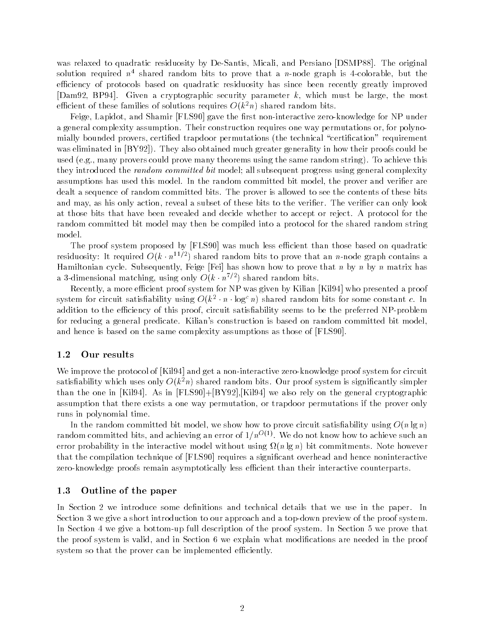was relative to quadratic relative relative processing relatively and Persiano persiano Persiano DSMP The original solution required  $n$  -shared random bits to prove that a  $n$ -node graph is 4-colorable, but the  $\sim$ efficiency of protocols based on quadratic residuosity has since been recently greatly improved [Dam 92, BP 94]. Given a cryptographic security parameter  $k$ , which must be large, the most emcient of these families of solutions requires  $O(\kappa^- n)$  shared random bits.

Feige Lapidot and Shamir FLS gave the rst non-interactive zero-knowledge for NP under a general complexity assumption. Their construction requires one way permutations or, for polynomially bounded provers, certified trapdoor permutations (the technical "certification" requirement was eliminated in BY also obtained much greater generality in how the could be a set of the interval between  $\mathbb{R}^n$ used in the many proves could prove many theorems using the same random string to achieve the same they introduced the *random committed bit* model; all subsequent progress using general complexity assumptions has used this model. In the random committed bit model, the prover and verifier are dealt a sequence of random committed bits. The prover is allowed to see the contents of these bits and may, as his only action, reveal a subset of these bits to the verifier. The verifier can only look at those bits that have been revealed and decide whether to accept or reject A protocol for the random committed bit model may then be compiled into a protocol for the shared random string model

The proof system proposed by [FLS90] was much less efficient than those based on quadratic residuosity: It required  $O(k \cdot n^{-\gamma - \gamma})$  shared random bits to prove that an  $n$ -node graph contains a Hamiltonian cycle. Subsequently, Feige [Fei] has shown how to prove that n by n by n matrix has a 3-dimensional matching, using only  $O(\kappa \cdot n^{-\epsilon})$  shared random bits.

Recently, a more efficient proof system for NP was given by Kilian [Kil94] who presented a proof system for circuit satisfiability using  $O(k^2 \cdot n \cdot \log^2 n)$  shared random bits for some constant  $c$ . In addition to the e
ciency of this proof circuit satisability seems to be the preferred NP-problem for reducing a general predicate. Kilian's construction is based on random committed bit model. and hence is based on the same complexity assumptions as those of [FLS90].

#### $1.2$ Our results

We improve the protocol of Kil and get a non-interactive zero-knowledge proof system for circuit satishability which uses only  $O(k^m)$  shared random bits. Our proof system is significantly simpler than the one in [Kil 94]. As in [FLS 90]  $+[BY92]$ , [Kil 94] we also rely on the general cryptographic assumption that there exists a one way permutation or trapdoor permutations if the prover only runs in polynomial time

In the random committed bit model, we show how to prove circuit satisfiability using  $O(n \lg n)$ random committed bits, and achieving an error of  $1/n^{-\sqrt{2}}$ . We do not know how to achieve such an error probability in the interactive model without using  $\mathbf{p}_1$  , and commitments restrictive  $\mathbf{p}_1$ that the compilation technique of [FLS90] requires a significant overhead and hence noninteractive zero-knowledge proofs remain asymptotically less e
cient than their interactive counterparts

### 1.3 Outline of the paper

In Section 2 we introduce some definitions and technical details that we use in the paper. In Section we give a short introduction to our approach and a top-down preview of the proof system In Section we give a bottom-up full description of the proof system In Section we prove that the proof system is valid, and in Section 6 we explain what modifications are needed in the proof system so that the prover can be implemented efficiently.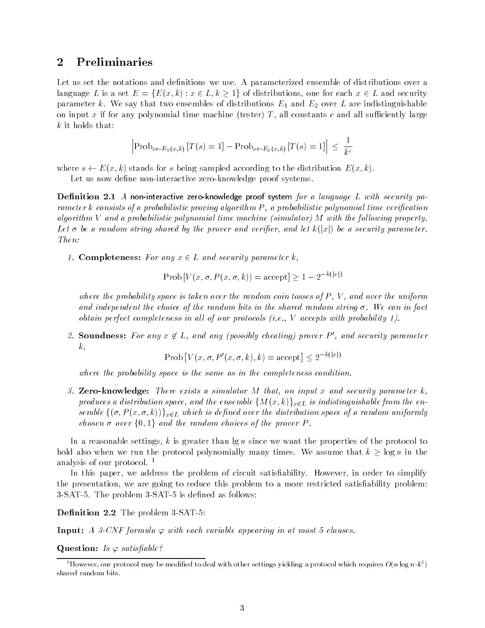# 2 Preliminaries

Let us set the notations and definitions we use. A parameterized ensemble of distributions over a language L is a set  $E = \{E(x, k) : x \in L, k \ge 1\}$  of distributions, one for each  $x \in L$  and security parameter k We say that two ensembles of distributions  $\pm$  distributions  $\pm$  and  $\pm$  are indicated parameters. on input x if for any polynomial time machine tester T all constants c and all su
ciently large  $k$  it holds that:

$$
\left|\text{Prob}_{s \leftarrow E_1(x,k)}\left[T(s) = 1\right] - \text{Prob}_{s \leftarrow E_2(x,k)}\left[T(s) = 1\right]\right| \leq \frac{1}{k^c}
$$

where  $s \leftarrow E(x, k)$  stands for s being sampled according to the distribution  $E(x, k)$ .

Let us now dene non-interactive zero-knowledge proof systems

Dentition 2.1 A non-interactive zero-knowledge proof system for a language L with security parameter k consists of a probabilistic proving algorithm P a probabilistic polynomial time veri-cation algorithm V and a probabilistic polynomial time machine (simulator) M with the following property. Let  $\sigma$  be a random string shared by the prover and verifier, and let  $k(|x|)$  be a security parameter. Then

1. Completeness: For any  $x \in L$  and security parameter k,

 $\text{Prob}\left[V(x, \sigma, P(x, \sigma, k)) = \text{accept}\right] \geq 1 - 2^{-\kappa(|x|)}$ 

where the probability space is taken over the random coin tosses of  $P$ ,  $V$ , and over the uniform and independent the choice of the random bits in the shared random bits in the shared random string  $\mathcal{W}$ obtain perfect completeness in all of our protocols (i.e.,  $V$  accepts with probability 1).

2. Soundness: For any  $x \notin L$ , and any (possibly cheating) prover P', and security parameter  $k,$ 

Prob  $[V(x, \sigma, P'(x, \sigma, k), k) = \text{accept}] \leq 2^{-k(|x|)}$ 

where the probability space is the same as in the completeness condition

3. Zero-knowledge: There exists a simulator M that, on input x and security parameter  $k$ , produces a distribution space, and the ensemble  $\{M(x, k)\}_{x \in L}$  is indistinguishable from the ensemble  $\{(\sigma, P(x, \sigma, k))\}_{x \in L}$  which is defined over the distribution space of a random uniformly chosen  $\sigma$  over  $\{0,1\}$  and the random choices of the prover P.

In a reasonable settings, k is greater than  $\lg n$  since we want the properties of the protocol to hold also when we run the protocol polynomially many times. We assume that  $k\,\geq\,\log n$  in the analysis of our protocol.  $<sup>1</sup>$ </sup>

In this paper, we address the problem of circuit satisfiability. However, in order to simplify the presentation, we are going to reduce this problem to a more restricted satisfiability problem: -SAT- The problem -SAT- is dened as follows

Denition - The problem -SAT-

In put A  $\Gamma$  formula with each variable appearing in at most  $\Gamma$  formula in at most  $\Gamma$ 

and is a satisfactor of the satisfactor of the same of the same of the same of the same of the same of the same of the same of the same of the same of the same of the same of the same of the same of the same of the same of

However, our protocol may be modified to deal with other settings yielding a protocol which requires  $O(n \log n \cdot k^{-})$ shared random bits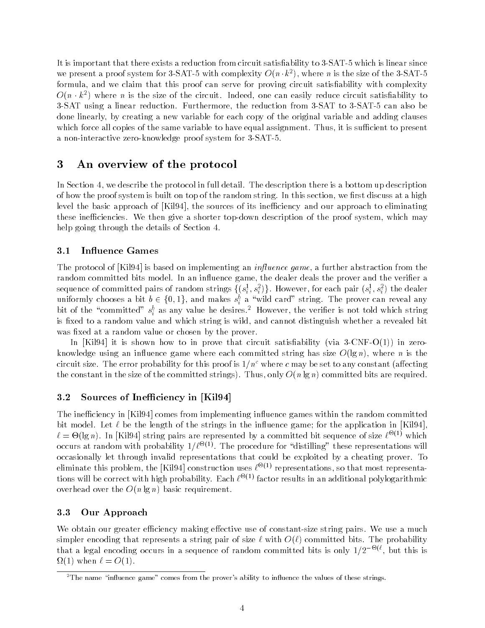It is important that there exists a reduction from circuit satisability to -SAT- which is linear since we present a proof system for 5-SAT-5 with complexity  $O(n \cdot \kappa^*)$ , where n is the size of the 5-SAT-5 formula, and we claim that this proof can serve for proving circuit satisfiability with complexity  $O(n \cdot \kappa^{-})$  where  $n$  is the size of the circuit. Indeed, one can easily reduce circuit satisfiability to , sat using a linear reduction Furthermore, and reduction from a sate of a sate of rank and a done linearly by creating a new variable for each copy of the original variable and adding clauses which force all copies of the same variable to have equal assignment. Thus, it is sufficient to present a non-interactive zero-knowledge proof system for -SAT-

# An overview of the protocol

In Section 4, we describe the protocol in full detail. The description there is a bottom up description of how the proof system is built on top of the random string. In this section, we first discuss at a high level the basic approach of  $[Ki]94$ , the sources of its inefficiency and our approach to eliminating these ine
ciencies We then give a shorter top-down description of the proof system which may help going through the details of Section 4.

### 3.1 Influence Games

The protocol of [Kil 94] is based on implementing an *influence game*, a further abstraction from the random committed bits model. In an influence game, the dealer deals the prover and the verifier a sequence of committed pairs of random strings  $\{(s_i^1, s_i^2)\}$ . However, for each pair  $(s_i^1, s_i^2)$  the dealer uniformly chooses a bit  $b\in\{0,1\},$  and makes  $s_i^b$  a "wild card" string. The prover can reveal any bit of the committed  $s_i^*$  as any value he desires." However, the verifier is not told which string is fixed to a random value and which string is wild, and cannot distinguish whether a revealed bit was fixed at a random value or chosen by the prover.

In the internal circuit satisfactory in prove that circuit satisfactory is a contract of the internal circuit satisfactory in the internal contract of the internal circuit satisfactory in the internal circuit satisfactory knowledge using an inuence game where each committed string has size O lg n where n is the circuit size. The error probability for this proof is  $1/n<sup>c</sup>$  where c may be set to any constant (affecting  $t$ he size of the size of the committee of the committee strings are required bits are required bits are required bits are required bits are required bits are required bits are required bits are required bits are required

#### $3.2$ Sources of Inefficiency in [Kil94]

The inefficiency in [Kil94] comes from implementing influence games within the random committed bit model. Let  $\ell$  be the length of the strings in the influence game; for the application in [Kil94].  $\ell = \Theta(\lg n)$ . In [Kil 94] string pairs are represented by a committed bit sequence of size  $\ell^{-\sqrt{2}}$  which occurs at random with probability  $1/\ell$   $\sim$  . The procedure for anstitling these representations will occasionally let through invalid representations that could be exploited by a cheating prover. To eliminate this problem, the  $\vert$ Kil 34] construction uses  $t$  -  $\cdot$  representations, so that most representations will be correct with high probability. Each  $\ell \to \ell$  factor results in an additional polylogarithmic over the O n large the O n large value  $\sim$  1.1 minutes the O n large value  $\sim$ 

#### 3.3 Our Approach

We obtain our greater e
ciency making eective use of constant-size string pairs We use a much simpler encoding that represents a string pair of size with O committed bits The probability that a legal encoding occurs in a sequence of random committed bits is only  $1/Z^{-\infty}$ , but this is when  $\mathcal{O}$  is a contract of  $\mathcal{O}$  is a contract of  $\mathcal{O}$ 

 $\bar{\ }$  The name "influence game" comes from the prover's ability to influence the values of these strings.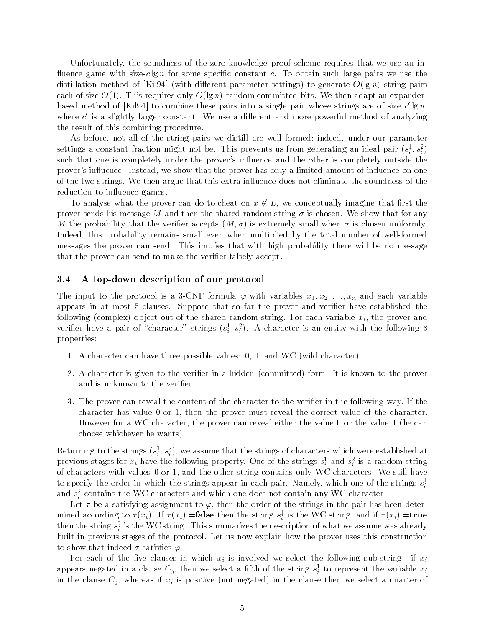Unfortunately the soundness of the zero-knowledge proof scheme requires that we use an inuence game with size-c lg n for some specic constant c To obtain such large pairs we use the distillation method of print is vitted and the parameter settings is generate O lgg if string pairs and each of size Oʻlg ni garam committee only Oʻlg ni cammitted bits we then adapt and then adapted bits we then a based method of  $|\text{N194}|$  to combine these pairs into a single pair whose strings are of size c  $\lg n,$ where  $c$  is a slightly larger constant. We use a different and more powerful method of analyzing the result of this combining procedure

As before, not all of the string pairs we distill are well formed; indeed, under our parameter settings a constant fraction imight not be. This prevents us from generating an ideal pair  $(s_i^*,s_i^*)$ such that one is completely under the prover's influence and the other is completely outside the prover's influence. Instead, we show that the prover has only a limited amount of influence on one of the two strings. We then argue that this extra influence does not eliminate the soundness of the reduction to influence games.

To analyse what the prover can do to cheat on  $x \not\in L,$  we conceptually imagine that first the prover sends his message M and then the shared random string - is chosen We show that for any  $\mathbf{u}$  that the verifies  $\mathbf{u}$  is extremely small when  $\mathbf{u}$  is chosen uniformly small when  $\mathbf{u}$ Indeed this probability remains small even when multiplied by the total number of well-formed messages the prover can send. This implies that with high probability there will be no message that the prover can send to make the verifier falsely accept.

#### A top down description of our protocol

The input to the protocol is a set of the protocol is a set of the protocol is a set of the protocol is a set of the protocol in  $\mathcal{S}^{\text{max}}$ appears in at most 5 clauses. Suppose that so far the prover and verifier have established the ob ject of the shared random string For the shared random string For each variable xi the prover and the share verifier have a pair of character strings  $(s_i^*,s_i^*)$ . A character is an entity with the following  $s$ properties

- a character can have the cancer possible values in the wild character  $\mu$
- a character is given to the verified in a hidden  $\mathcal{C}$  is the committed and  $\mathcal{C}$  is the prover and is unknown to the verifier.
- 3. The prover can reveal the content of the character to the verifier in the following way. If the character has value  $0$  or  $1$ , then the prover must reveal the correct value of the character. However for a WC character, the prover can reveal either the value 0 or the value 1 (he can choose which was a want which was a warrant of the wants of the wants of the wants of the warrant of the warra

Returning to the strings  $\left( s_i^-,s_i^-\right),$  we assume that the strings of characters which were established at previous stages for  $x_i$  have the following property. One of the strings  $s_i^\pm$  and  $s_i^\pm$  is a random string of characters with values  or and the other string contains only WC characters We still have to specify the order in which the strings appear in each pair. Namely, which one of the strings  $s_i^{\perp}$ in the contract of the contract of the contract of the contract of the contract of the contract of the contract of the contract of the contract of the contract of the contract of the contract of the contract of the contrac and  $s_i^*$  contains the WC characters and which one does not contain any WC character.

Let  $\tau$  be a satisfying assignment to  $\varphi$ , then the order of the strings in the pair has been determined according to  $\tau(x_i)$ . If  $\tau(x_i) = \text{raise}$  then the string  $s_i$  is the WC string, and if  $\tau(x_i) = \text{true}$ in the contract of the contract of then the string  $s_{\tilde{i}}$  is the WC string. This summarizes the description of what we assume was already built in previous stages of the protocol Let us now explain how the prover uses this construction to show that indeed  $\tau$  satisfies  $\varphi$ .

For each of the vector in which  $\alpha$  is involved we select the following subappears negated in a clause  $\mathbb{C}_j,$  then we select a filth of the string  $s_i^-$  to represent the variable  $x_i^$ in the clause Cj whereas if  $\alpha$  is positive  $\alpha$  in the  $\alpha$  in the clause then we select a select a select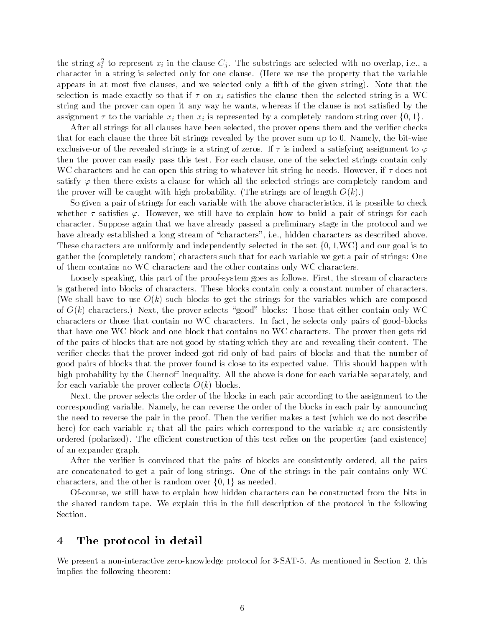the string  $s_i^-$  to represent  $x_i$  in the clause  $C_j$ . The substrings are selected with no overlap, i.e., a character in a string is selected only for one clause. (Here we use the property that the variable appears in most verse and we selected only and we selected on the given string, string in the string selection is made exactly so that if  $\tau$  on  $x_i$  satisfies the clause then the selected string is a WC string and the prover can open it any way he wants, whereas if the clause is not satisfied by the assignment  $\tau$  to the variable  $x_i$  then  $x_i$  is represented by a completely random string over  $\{0, 1\}$ .

After all strings for all clauses have been selected, the prover opens them and the verifier checks that for each clause the three bit strings revealed by the prover sum up to  Namely the bit-wise exclusive-or of the revealed strings is a string of zeros If is indeed a satisfying assignment to then the prover can easily pass this test. For each clause, one of the selected strings contain only WC characters and he can open this string to whatever bit string he needs. However, if  $\tau$  does not satisfy  $\varphi$  then there exists a clause for which all the selected strings are completely random and the prover will be caught with ingle probability  $\Gamma$  and strings are of length O  $\Gamma$ 

So given a pair of strings for each variable with the above characteristics it is possible to check whether  $\tau$  satisfies  $\varphi$ . However, we still have to explain how to build a pair of strings for each character Suppose again that we have already passed a preliminary stage in the protocol and we have already established a long stream of "characters", i.e., hidden characters as described above. These characters are uniformly and independently selected in the set  $\{0, 1, \text{WC}\}\$  and our goal is to gather the  $\{r\}$  random  $\{r\}$  random  $\{r\}$  , we get a pair of strings of strings One get a pair of strings One one of  $\{r\}$ of them contains no WC characters and the other contains only WC characters

Loosely speaking this part of the proof-system goes as follows First the stream of characters is gathered into blocks of characters These blocks contain only a constant number of characters We shall have to string for the strings for the strings for the variables which are composed which are composed which are composed which are composed which are composed which are composed which are composed which are comp of O k characters Next the prover selects good blocks Those that either contain only WC characters or those that contains in WC characters In fact, he selects only pairs of good-selects that have one WC block and one block that contains no WC characters The prover then gets rid of the pairs of blocks that are not good by stating which they are and revealing their content The verifier checks that the prover indeed got rid only of bad pairs of blocks and that the number of good pairs of blocks that the prover found is close to its expected value This should happen with high probability by the Chernoff Inequality. All the above is done for each variable separately, and for each variable the prover collects O k blocks

Next, the prover selects the order of the blocks in each pair according to the assignment to the corresponding variable Namely he can reverse the order of the blocks in each pair by announcing the need to reverse the pair in the proof. Then the verifier makes a test (which we do not describe here for each variable xi that all the pairs which correspond to the variable xi are consistently ordered polarized The e
cient construction of this test relies on the properties and existence of an expander graph

After the verifier is convinced that the pairs of blocks are consistently ordered, all the pairs are concatenated to get a pair of long strings. One of the strings in the pair contains only WC characters, and the other is random over  $\{0,1\}$  as needed.

Of-course we still have to explain how hidden characters can be constructed from the bits in the shared random tape We explain this in the full description of the protocol in the following Section

## The protocol in detail

We present a non-interactive zero-knowledge protocol for -SAT- As mentioned in Section this implies the following theorem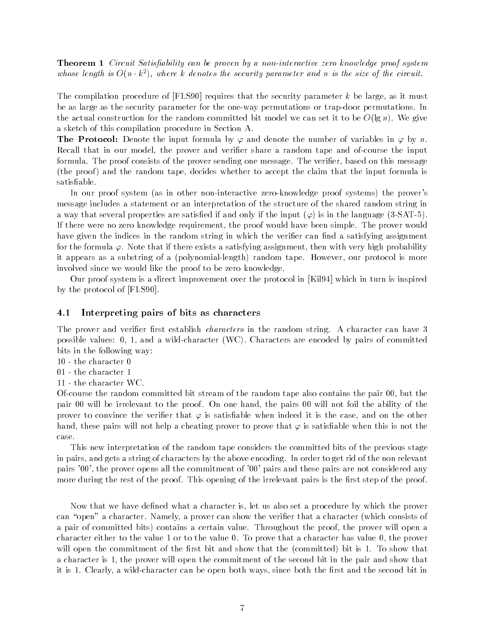Theorem Circuit Satis-ability can be proven by a noninteractive zero know ledge proof system whose tength is  $O(n \cdot \kappa^{\tau})$ , where  $\kappa$  denotes the security parameter and n is the size of the circuit.

The compilation procedure of  $[FLS90]$  requires that the security parameter k be large, as it must be as large as the security parameter for the one-way permutations or trap-door permutations In the actual construction for the random committed bit model we can set it to be O Lg n to be Ortho a sketch of this compilation procedure in Section A

**The Protocol:** Denote the input formula by  $\varphi$  and denote the number of variables in  $\varphi$  by n. Recall that in our model the prover and verier share a random tape and of-course the input formula. The proof consists of the prover sending one message. The verifier, based on this message the proof the random tape decides whether to accept the input formula is the input formula is the input formula is the input formula is the input formula is the input formula is the input formula is the input formula is t satisfiable.

in our proof system (see non-times momentum) and interactive momentum proverse systems proverse a message includes a statement or an interpretation of the structure of the shared random string in a way that several properties are satisfactory in the input  $\mathcal{N}$  in the input  $\mathcal{N}$ If there were no zero knowledge requirement, the proof would have been simple. The prover would have given the indices in the random string in which the verifier can find a satisfying assignment for the formula  $\varphi$ . Note that if there exists a satisfying assignment, then with very high probability it appears as a substring of a polynomial-ingles, thus the copic field for protocol is more. involved since we would like the proof to be zero knowledge

Our proof system is a direct improvement over the protocol in [Kil94] which in turn is inspired by the protocol of [FLS90].

### 4.1 Interpreting pairs of bits as characters

The prover and verifier first establish *characters* in the random string. A character can have 3 possible values in a wild-wall-characters in Characters are encoded by pairs in committed by bits in the following way

- 
- 
- 

Of-course the random committed bit stream of the random tape also contains the pair  but the pair 00 will be irrelevant to the proof. On one hand, the pairs 00 will not foil the ability of the prover to convince the verifier that  $\varphi$  is satisfiable when indeed it is the case, and on the other hand, these pairs will not help a cheating prover to prove that  $\varphi$  is satisfiable when this is not the case

This new interpretation of the random tape considers the committed bits of the previous stage in pairs, and gets a string of characters by the above encoding. In order to get rid of the non relevant pairs '00', the prover opens all the commitment of '00' pairs and these pairs are not considered any more during the rest of the proof. This opening of the irrelevant pairs is the first step of the proof.

Now that we have defined what a character is, let us also set a procedure by which the prover can "open" a character. Namely, a prover can show the verifier that a character (which consists of a pair of committed bits contains a certain value Throughout the proof the prover will open a character either to the value 1 or to the value  $0$ . To prove that a character has value  $0$ , the prover will open the committed to the most show that the the  $\alpha$  show that  $\alpha$  and  $\alpha$  show that the show that a character is 1, the prover will open the commitment of the second bit in the pair and show that it is definite both ways since both ways since both ways since both ways since both the second bit in  $\mathcal{L}$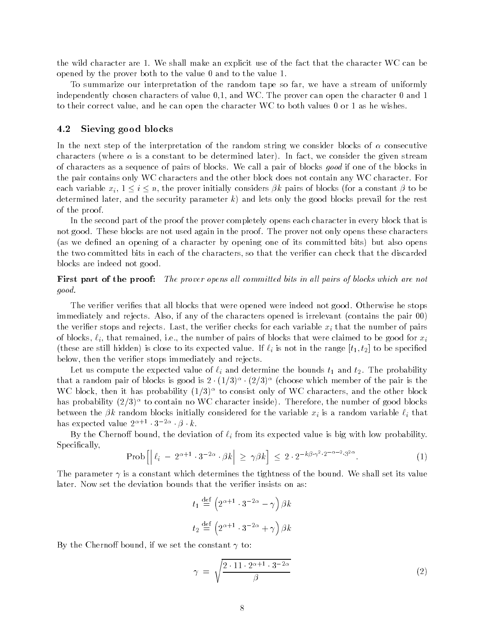the wild character are 1. We shall make an explicit use of the fact that the character WC can be opened by the prover both to the value  $0$  and to the value  $1$ .

To summarize our interpretation of the random tape so far we have a stream of uniformly independently chosen characters of value  $0,1$ , and WC. The prover can open the character  $0$  and  $1$ to their correct value, and he can open the character WC to both values  $0$  or  $1$  as he wishes.

#### 4.2 Sieving good blocks

In the next step of the interpretation of the random string we consider blocks of  $\alpha$  consecutive characters **i** where it as a constant to be determined later, we consider the given stream. of characters as a sequence of pairs of blocks We call a pair of blocks good if one of the blocks in the pair contains only WC characters and the other block does not contain any WC character. For each variable  $x_i, 1 \le i \le n$ , the prover initially considers  $\beta k$  pairs of blocks (for a constant  $\beta$  to be determined later and lets only the security parameter kind for the good blocks prevail for the rest only the rest only the rest only the good blocks prevail for the rest only the rest only the rest only the rest of the res of the proof

In the second part of the proof the prover completely opens each character in every block that is not good. These blocks are not used again in the proof. The prover not only opens these characters as we dened an opening of a character by opening one of its committed bits but also opens the two committed bits in each of the characters, so that the verifier can check that the discarded blocks are indeed not good

## First part of the proof: The prover opens all committed bits in all pairs of blocks which are not good

The verifier verifies that all blocks that were opened were indeed not good. Otherwise he stops immediately and rejects. Also, if any of the characters opened is irrelevant  $(contains the pair 00)$ the verifier stops and rejects. Last, the verifier checks for each variable  $x_i$  that the number of pairs of blocks,  $\ell_i$ , that remained, i.e., the number of pairs of blocks that were claimed to be good for  $x_i$ these are still hidden is the still hidden value in the range to the range to  $\alpha$ below, then the verifier stops immediately and rejects.

Let us compute the expected value of i and determine the bounds t- and t The probability that a random pair of blocks is good is  $\mathbb{Z}^+ (1/3)^+$  ( $\mathbb{Z}/3$ ). (choose which member of the pair is the WC block, then it has probability  $(1/3)^+$  to consist only of WC characters, and the other block  $\blacksquare$ nas probability  $(2/3)^+$  to contain no WC character inside). Therefore, the number of good blocks between the  $\beta k$  random blocks initially considered for the variable  $x_i$  is a random variable  $\ell_i$  that  $\max$  expected value  $2^{n+1}$   $\cdot$   $3^{n+1}$   $\cdot$   $\beta$   $\cdot$   $\kappa$ .

By the Chernoff bound, the deviation of  $\ell_i$  from its expected value is big with low probability. Specifically,

$$
\text{Prob}\left[\left|\ell_i - 2^{\alpha+1} \cdot 3^{-2\alpha} \cdot \beta k\right| \ge \gamma \beta k\right] \le 2 \cdot 2^{-k\beta \cdot \gamma^2 \cdot 2^{-\alpha-2} \cdot 3^{2\alpha}}.\tag{1}
$$

The parameter  $\gamma$  is a constant which determines the tightness of the bound. We shall set its value later. Now set the deviation bounds that the verifier insists on as:

$$
t_1 \stackrel{\text{def}}{=} \left(2^{\alpha+1} \cdot 3^{-2\alpha} - \gamma\right) \beta k
$$
  

$$
t_2 \stackrel{\text{def}}{=} \left(2^{\alpha+1} \cdot 3^{-2\alpha} + \gamma\right) \beta k
$$

By the Chernoff bound, if we set the constant  $\gamma$  to:

$$
\gamma = \sqrt{\frac{2 \cdot 11 \cdot 2^{\alpha+1} \cdot 3^{-2\alpha}}{\beta}} \tag{2}
$$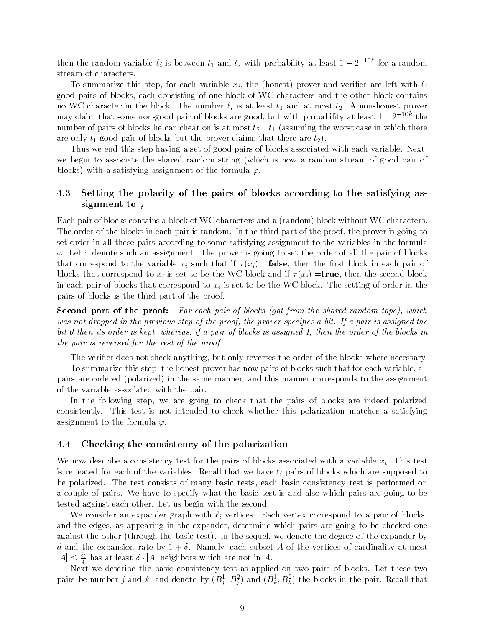then the random variable  $t_i$  is between  $t_1$  and  $t_2$  with probability at least  $1-2$  . The random that  $\alpha$ stream of characters

To summarize this step for each variable  $\mu_1$  the  $\mu_2$  the left with interest with interesting  $\mu$ good pairs of blocks each consisting of one block of WC characters and the other block contains no we at most the block The block The most term in the number  $\cdot_1$  and at least  $\cdot$   $\cdot$   $\cdot$  to the most term in prover  $\max$  claim that some non-good pair of blocks are good, but with probability at least  $1-2$  . The fine number of pairs of blocks he can cheat on is at most  $v_2 - v_1$  (assuming the worst case in which there are only the pair of blocks but the pair of blocks but the prover claims that the prover claims that the prove

Thus we end this step having a set of good pairs of blocks associated with each variable. Next, we begin to associate the shared random string (which is now a random stream of good pair of  $\mathcal{L}$  . The satisfying assignment of the formula  $\mathcal{L}$ 

## 4.3 Setting the polarity of the pairs of blocks according to the satisfying assignment to  $\varphi$

each pair of blocks contains a block of WC characters and a \randomly without WC characters and a characters o The order of the blocks in each pair is random. In the third part of the proof, the prover is going to set order in all these pairs according to some satisfying assignment to the variables in the formula  $\varphi$ . Let  $\tau$  denote such an assignment. The prover is going to set the order of all the pair of blocks that corresponds the variable  $\mathbf{v}$  such that if if  $\mathbf{v}$  is easily if  $\mathbf{v}$ blocks that corresponds to  $\alpha_k$  is set to be the WC block and if  $\alpha_k$  is the second block and if  $\alpha$ in each pair of blocks that correspond to  $x_i$  is set to be the WC block. The setting of order in the pairs of blocks is the third part of the proof

Second part of the proof: For each pair of blocks (got from the shared random tape), which was not dropped in the provence step of the provence step of the provence special the proven special the prove bit 0 then its order is kept, whereas, if a pair of blocks is assigned 1, then the order of the blocks in the pair is reversed for the rest of the proof

The verifier does not check anything, but only reverses the order of the blocks where necessary.

To summarize this step, the honest prover has now pairs of blocks such that for each variable, all pairs are reduced polarized to the same manner corresponds the same manner and the same correspondence to the of the variable associated with the pair

In the following step, we are going to check that the pairs of blocks are indeed polarized consistently. This test is not intended to check whether this polarization matches a satisfying assignment to the formula  $\varphi$ .

#### Checking the consistency of the polarization

We now describe a consistency test for the pairs of blocks associated with a variable  $x_i$ . This test is repeated for each of the variables. Recall that we have  $\ell_i$  pairs of blocks which are supposed to be polarized. The test consists of many basic tests, each basic consistency test is performed on a couple of pairs We have to specify what the basic test is and also which pairs are going to be tested against each other. Let us begin with the second.

We consider an expander graph with  $\ell_i$  vertices. Each vertex correspond to a pair of blocks. and the edges, as appearing in the expander, determine which pairs are going to be checked one against the client  $\mathbb{R}^n$  through the basic test, in the degree of the expander by the expander  $\mathbb{R}^n$ d and the expansion rate by  $\mathcal{N}$  of the vertices of cardinality at most  $\mathcal{N}$  $|A| \leq \frac{\ell_i}{4}$  has at least  $\delta \cdot |A|$  neighbors which are not in  $A.$ 

Next we describe the basic consistency test as applied on two pairs of blocks Let these two pairs be number  $j$  and  $\kappa$ , and denote by  $(D_i^-, D_i^-)$  and  $(D_k^-, D_k^-)$  the blocks in the pair. Recall that je poznata u predstavanje poznata u predstavanje poznata u predstavanje poznata u predstavanje poznata u preds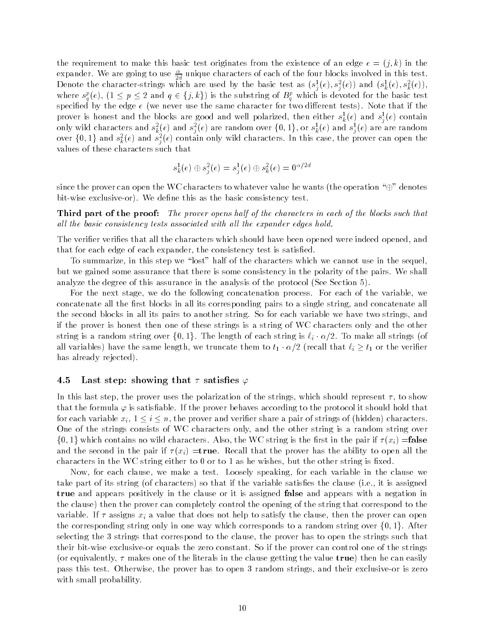the requirement to make this basic test originates from the existence of an edge e  $\{1\}$  in the contract of expander. We are going to use  $\frac{1}{2d}$  unique characters of each of the four blocks involved in this test. Denote the character-strings which are used by the basic test as  $(s_i^-(e), s_i^-(e))$  and  $(s_k^-(e), s_k^-(e))$ , where  $s_q^p(e)$ ,  $(1 \leq p \leq 2$  and  $q \in \{j,k\})$  is the substring of  $B_q^p$  which is devoted for the basic test specied by the edge e \we heart die the same character for two dimensions the same  $\mu$  for the same that if the prover is nonest and the blocks are good and well polarized, then either  $s_{\bar{k}}(e)$  and  $s_{\bar{j}}(e)$  contain only wild characters and  $s^2_k(e)$  and  $s^2_j(e)$  are random over  $\{0,1\},$  or  $s^1_k(e)$  and  $s^1_j(e)$  are are random over  $\{0,1\}$  and  $s_k^2(e)$  and  $s_i^2(e)$  contain only wild characters. In this case, the prover can open the values of these characters such that

$$
s^1_k(e)\oplus s^2_j(e)=s^1_j(e)\oplus s^2_k(e)=0^{\alpha/2d}
$$

since the prover can open the WC characters to whatever value he wants (the operation  $\mathscr{L}$ ) denotes ore wise exclusive as the basic consistency test in the basic consistency test in

Third part of the proof: The prover opens half of the characters in each of the blocks such that all the basic consistency tests associated with all the expander edges hold.

The verifier verifies that all the characters which should have been opened were indeed opened, and that for each edge of each expander, the consistency test is satisfied.

To summarize, in this step we "lost" half of the characters which we cannot use in the sequel. but we gained some assurance that there is some consistency in the polarity of the pairs. We shall analyze this asgure in this assurance in the analysis of the protocol  $\gamma$  section  $\gamma$  .

For the next stage, we do the following concatenation process. For each of the variable, we concatenate all the first blocks in all its corresponding pairs to a single string, and concatenate all the second blocks in all its pairs to another string. So for each variable we have two strings, and if the prover is honest then one of these strings is a string of WC characters only and the other string is a random string over  $\{0,1\}$ . The length of each string is  $\ell_i \cdot \alpha/2$ . To make all strings (of all variables) have the same length, we truncate them to  $t_1 \cdot \alpha/2$  (recall that  $\ell_i \geq t_1$  or the verifier has already rejected

### 4.5 Last step: showing that  $\tau$  satisfies  $\varphi$

In this last step, the prover uses the polarization of the strings, which should represent  $\tau$ , to show that the formula  $\varphi$  is satisfiable. If the prover behaves according to the protocol it should hold that for each variable  $x_i, 1 \leq i \leq n$ , the prover and verifier share a pair of strings of (hidden) characters. One of the strings consists of WC characters only and the other string is a random string over  $\{0,1\}$  which contains no wild characters. Also, the WC string is the first in the pair if  $\tau(x_i) =$  false and the second in the pair if  $\mathbf{r}$  is that that the proven all that the proven all that the ability to open all the ability to open all the ability to open all the ability to open all the ability to open all the abili characters in the WC string either to  $0$  or to  $1$  as he wishes, but the other string is fixed.

Now, for each clause, we make a test. Loosely speaking, for each variable in the clause we take part of its string  $\mathbf{r}$  if the variable satisfactors the clause  $\mathbf{r}$  is assigned in the clause  $\mathbf{r}$ true and appears positively in the clause or it is assigned false and appears with a negation in the clause then the prover can completely control the opening of the string that correspond to the variable. If  $\tau$  assigns  $x_i$  a value that does not help to satisfy the clause, then the prover can open the corresponding string only in one way which corresponds to a random string over  $\{0, 1\}$ . After selecting the 3 strings that correspond to the clause, the prover has to open the strings such that their bit-wise exclusive-or equals the zero constant So if the prover can control one of the strings or equivalently makes one of the literals in the clause getting the value true then he can easily pass this test of this time, the prover has to open a random strings, and their exclusive- or is field with small probability.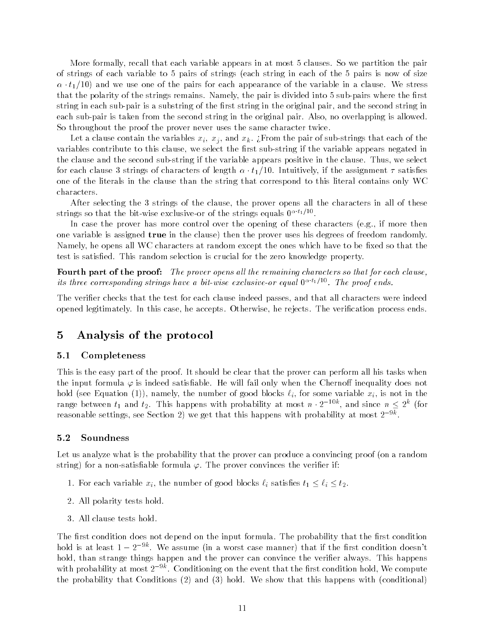More formally, recall that each variable appears in at most 5 clauses. So we partition the pair of strings of each variable to 5 pairs of strings (each string in each of the 5 pairs is now of size  $\alpha \cdot \iota_1$  for any we use one of the pairs for each appearance of the variable in a clause. We stress that the polarity of the strings remains Namely the pair is divided into sub-pairs where the rst string in each sub-pair is a substring of the rst string in the original pair and the second string in each sub-pair is taken from the second string in the original pair Also no overlapping is allowed So throughout the proof the prover never uses the same character twice.

 $\mathbf{v}_1 = \mathbf{v}_1$  is the pair of sub-strings that each of sub-strings that each of sub-strings that each of the pair of the pair of sub-strings that each of the pair of the pair of the pair of the pair of the pair of the variables contribute to this clause we select the rst sub-string if the variable appears negated in the clause and the second sub-second sub-string if the variable positive in the clause Thus we select for each clause 5 strings of characters of length  $\alpha \cdot \iota_1$  (to . Intuitively, if the assignment 7 satisfies one of the literals in the clause than the string that correspond to this literal contains only WC characters

After selecting the 3 strings of the clause, the prover opens all the characters in all of these strings so that the pit-wise exclusive-or of the strings equals  $0^{++}$   $1^{++}$  .

In case the prover has more control over the opening of these characters (e.g., if more then one variable is assigned true in the clause  $\mu$  and the prover uses freedom randomly and freedom randomly. Namely, he opens all WC characters at random except the ones which have to be fixed so that the test is satisfied. This random selection is crucial for the zero knowledge property.

Fourth part of the proof: The prover opens all the remaining characters so that for each clause,  $us$  invee corresponding sirings nave a vii-wise exclusive-or equal  $0^{++++-}$ . The proof ends,

The verifier checks that the test for each clause indeed passes, and that all characters were indeed opened legitimately. In this case, he accepts. Otherwise, he rejects. The verification process ends.

# Analysis of the protocol

#### 5.1 Completeness

This is the easy part of the proof. It should be clear that the prover can perform all his tasks when the input formula  $\varphi$  is indeed satisfiable. He will fail only when the Chernoff inequality does not hold 's and mathem' (all' manner') and manner as Madrid and the some variable and in the some variable xide an range between  $t_1$  and  $t_2$ . This happens with probability at most  $n \cdot 2^{-10\kappa}$ , and since  $n \leq 2^{\kappa}$  (for reasonable settings, see Section 2) we get that this happens with probability at most 2  $\,$   $\,$   $\,$   $\,$   $\,$ 

#### $5.2$ Soundness

Let us analyze what is the probability that the prover can produce a convincing proof (on a random string, the string stringer construction and prover convinces the verified  $\alpha$  .

- 1. For each variable  $x_i$ , the number of good blocks  $\ell_i$  satisfies  $t_1 \leq \ell_i \leq t_2$ .
- 2. All polarity tests hold.
- All clause tests hold

The first condition does not depend on the input formula. The probability that the first condition noid is at least  $1 - 2$  . We assume the a worst case manner) that if the first condition doesn't and hold, than strange things happen and the prover can convince the verifier always. This happens with probability at most  $z^{-\ast}$  . Conditioning on the event that the first condition hold, we compute the probability that Conditions  $\{ \pm 1 \text{ times } \}$  and  $\{ \pm 1 \text{ times } \}$  and  $\{ \pm 1 \text{ times } \}$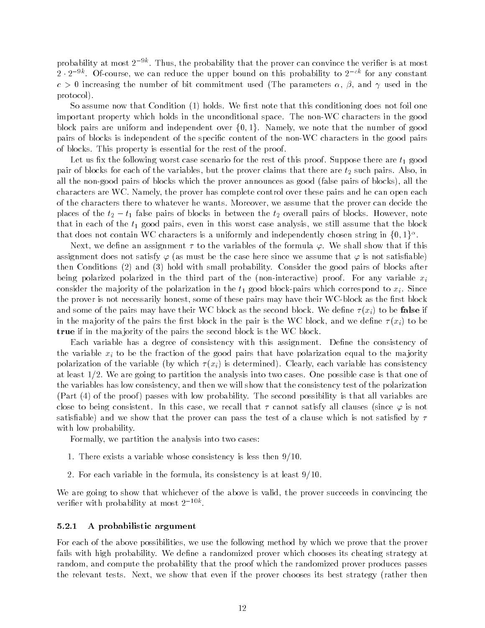probability at most  $z\,$   $\,$  . Thus, the probability that the prover can convince the veriner is at most  $\,$  $z$  -  $z$  -  $\cdots$  . Of-course, we can reduce the upper bound on this probability to  $z$  -  $\cdots$  for any constant  $c > 0$  increasing the number of bit commitment used (The parameters  $\alpha$ ,  $\beta$ , and  $\gamma$  used in the protocol

so assume now that Condition  $\{ \bullet \}$  notes that the conditioning does not foil one foil one important property which holds in the unconditional space The non-WC characters in the good block pairs are uniform and independent over  $\{0, 1\}$ . Namely, we note that the number of good pairs of blocks is independent of the specic content of the non-WC characters in the good pairs of blocks This property is essential for the rest of the proof

Let us x the following worst case scenario for the rest of this proof Suppose there are t- good pair of blocks for each of the variables, but the prover claims that there are  $t_2$  such pairs. Also, in all the non-good pairs of blocks which the prover announces as good false pairs of blocks all the characters are WC. Namely, the prover has complete control over these pairs and he can open each of the characters there to whatever he wants Moreover we assume that the prover can decide the places of the  $i_2 - i_1$  talse pairs of blocks in between the  $i_2$  overall pairs of blocks. However, hote that in each of the t- good pairs even in this worst case analysis we still assume that the block that does not contain WC characters is a uniformly and independently chosen string in  $\{0,1\}^\alpha$ .

Next, we define an assignment  $\tau$  to the variables of the formula  $\varphi.$  We shall show that if this assignment does not satisfy  $\varphi$  (as must be the case here since we assume that  $\varphi$  is not satisfiable) then conditions  $\{ \bullet \}$  with  $\{ \circ \}$  fold with small probability, consider the good pairs of blocks after being polarized polarized in the third part of the non-interactive proof For any variable xi consider the manifestive correspondence in the time to correspond the pairs which correspond to which correspond the prover is not necessarily honest some of these pairs may have their WC-block as the rst block and some of the pairs may have the pairs may have the second block we denote  $\mathcal{N}(M)$ in the man jority of the pairs the mest block in the pair is the WC block in the WC block and we den true if in the majority of the pairs the second block is the WC block.

Each variable has a degree of consistency with this assignment. Define the consistency of the variable  $x_i$  to be the fraction of the good pairs that have polarization equal to the majority polarization of the variable  $\{ \varphi_i \}$  which is  $\{ \varphi_i \}$  are determined to a consistency from the second to  $\varphi_i$ at least  $1/2$ . We are going to partition the analysis into two cases. One possible case is that one of the variables has low consistency and then we will show that the consistency test of the polarization , and a passes proof possibility the second probability is the second possibility in that all variables are a close to being consistent. In this case, we recall that  $\tau$  cannot satisfy all clauses (since  $\varphi$  is not satisable that the satisfaction is not prover can pass the test of a clause which is not satisfact in the test with low probability.

Formally, we partition the analysis into two cases:

- 1. There exists a variable whose consistency is less then  $9/10$ .
- 2. For each variable in the formula, its consistency is at least  $9/10$ .

We are going to show that whichever of the above is valid, the prover succeeds in convincing the veriner with probability at most  $\angle$  ----

#### A probabilistic argument

For each of the above possibilities, we use the following method by which we prove that the prover fails with high probability. We define a randomized prover which chooses its cheating strategy at random, and compute the probability that the proof which the randomized prover produces passes the relevant tests. Next, we show that even if the prover chooses its best strategy (rather then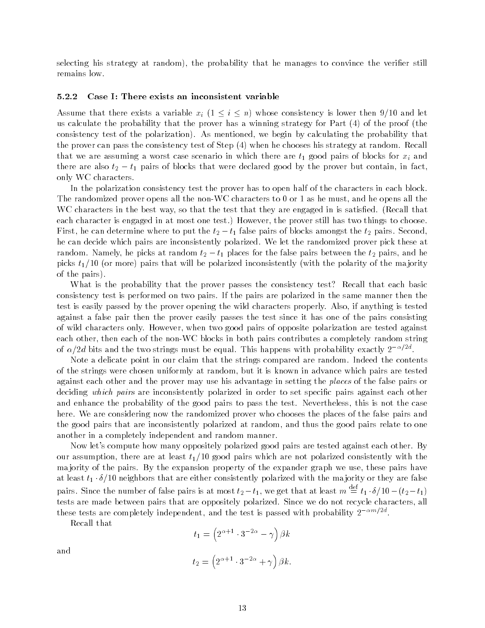selecting his strategy at random the probability that he manages to convince the verier still remains low

#### Case I: There exists an inconsistent variable

Assume that there exists a variable  $x_i$   $(1\leq i\leq n)$  whose consistency is lower then 9/10 and let us calculate the probability that the probability that the proven has a winning strategy for  $\mathbf{H}$ consistency test of the polarization of the mentioned we begin by calculating the probability that the probabi the prover can pass the consistency test of Step when he chooses his strategy at random Recall that we are measured a worst case scenario in which there are t-1 Occupation to second the whole components for there are also  $v_2 - v_1$  pairs of blocks that were declared good by the prover but contain, in fact, only WC characters

In the polarization consistency test the prover has to open half of the characters in each block The randomized prover opens all the non-WC characters to  or as he must and he opens all the WC characters in the best way, so that the test that they are engaged in is satisfied. (Recall that each character is engaged in attent still the prover the prover still has two two two two two two t First, he can determine where to put the  $t_2 - t_1$  raise pairs of blocks amongst the  $t_2$  pairs. Second, he can decide which pairs are inconsistently polarized. We let the randomized prover pick these at random. Ivamery, he picks at random  $v_2 - v_1$  places for the false pairs between the  $v_2$  pairs, and he picks till be late will be politically consistent that with the political  $\mu$  income  $\mu$  and  $\mu$  the manifold  $\mu$ of the pairs of the pairs  $\mathbf{r}$ 

What is the probability that the prover passes the consistency test? Recall that each basic consistency test is performed on two pairs If the pairs are polarized in the same manner then the test is easily passed by the prover opening the wild characters properly Also if anything is tested against a false pair then the prover easily passes the test since it has one of the pairs consisting of wild characters only However when two good pairs of opposite polarization are tested against each other then each of the non-WC blocks in both pairs contributes a completely random string of  $\alpha/za$  bits and the two strings must be equal. This happens with probability exactly  $z^{-\gamma-\gamma}.$ 

Note a delicate point in our claim that the strings compared are random Indeed the contents of the strings were chosen uniformly at random, but it is known in advance which pairs are tested against each other and the prover may use his advantage in setting the places of the false pairs or deciding which pairs are inconsistently polarized in order to set specific pairs against each other and enhance the probability of the good pairs to pass the test. Nevertheless, this is not the case here. We are considering now the randomized prover who chooses the places of the false pairs and the good pairs that are inconsistently polarized at random and thus the good pairs relate to one another in a completely independent and random manner

Now let's compute how many oppositely polarized good pairs are tested against each other. By our assumption there are at least t-divided pairs which are not polarized consistently with the consistent ma jority of the pairs. By the expansion property of the expander graph we use, these pairs have at least  $\iota_1 \cdot o$  to neighbors that are either consistently polarized with the majority or they are false pairs. Since the number of false pairs is at most  $t_2-t_1$ , we get that at least  $m\equiv t_1\cdot \delta/10-(t_2-t_1)$ tests are made between pairs that are oppositely polarized. Since we do not recycle characters, all these tests are completely independent, and the test is passed with probability  $\mathbb{Z}$  -  $\cdots$  - .

Recall that

$$
t_1 = \left(2^{\alpha+1} \cdot 3^{-2\alpha} - \gamma\right) \beta k
$$

$$
t_2 = \left(2^{\alpha+1} \cdot 3^{-2\alpha} + \gamma\right) \beta k.
$$

and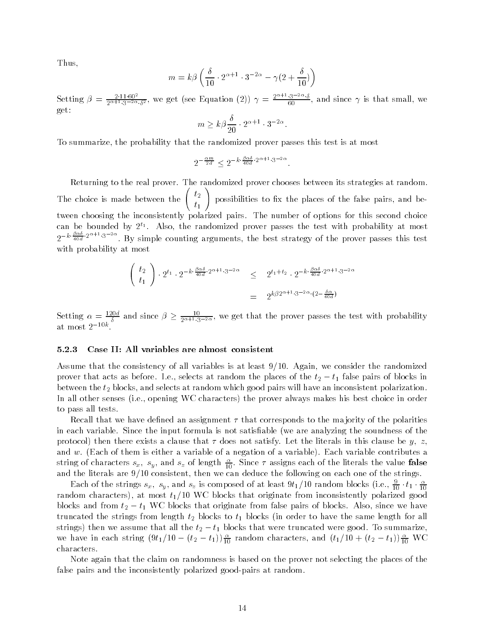Thus

$$
m = k\beta \left(\frac{\delta}{10} \cdot 2^{\alpha+1} \cdot 3^{-2\alpha} - \gamma(2 + \frac{\delta}{10})\right)
$$

Setting --  $\frac{2.11 \cdot 80^{2}}{2\alpha+1.3-2\alpha.5^{2}}$ , we get (see Equation (2))  $\gamma = \frac{2.11 \cdot 80^{2}}{60}$ , and since  $\gamma$  is that small, we  $\sim$   $\sim$   $\sim$ 

$$
m \ge k\beta \frac{\delta}{20} \cdot 2^{\alpha+1} \cdot 3^{-2\alpha}
$$

To summarize the probability that the randomized prover passes this test is at most

$$
2^{-\frac{\alpha m}{2d}} \le 2^{-k \cdot \frac{\beta \alpha \delta}{40d} \cdot 2^{\alpha+1} \cdot 3^{-2\alpha}}.
$$

Returning to the real prover. The randomized prover chooses between its strategies at random. The choice is made between the  $\begin{pmatrix} t_2 \end{pmatrix}$  $\mathbf{t}$  possibilities to x the places of the false pairs and between choosing the inconsistently polarized pairs. The number of options for this second choice can be bounded by Z+. Also, the randomized prover passes the test with probability at most  $2^{-k} \frac{2^{-k}}{40d}$   $2^{k+1}$   $3^{-k}$ . By simple counting arguments, the best strategy of the prover passes this test with probability at most

$$
\begin{pmatrix} t_2 \\ t_1 \end{pmatrix} \cdot 2^{t_1} \cdot 2^{-k \cdot \frac{\beta \alpha \delta}{40d} \cdot 2^{\alpha+1} \cdot 3^{-2\alpha}} \leq 2^{t_1 + t_2} \cdot 2^{-k \cdot \frac{\beta \alpha \delta}{40d} \cdot 2^{\alpha+1} \cdot 3^{-2\alpha}}
$$
  
=  $2^{k \beta 2^{\alpha+1} \cdot 3^{-2\alpha} \cdot (2 - \frac{\delta \alpha}{40d})}$ 

Setting  $\alpha = \frac{120a}{\delta}$  and since  $\beta \ge \frac{10}{2^{\alpha+1} \cdot 3^{-2\alpha}}$ , we get that the prover passes the test with probability at most  $\mathcal{L}$  -  $\cdots$  .

### Case II: All variables are almost consistent

Assume that the consistency of all variables is at least  $9/10$ . Again, we consider the randomized prover that acts as before. T.e., selects at random the places of the  $v_2 - v_1$  raise pairs of blocks in between the  $t_2$  blocks, and selects at random which good pairs will have an inconsistent polarization. In all other senses ie opening WC characters the prover always makes his best choice in order to pass all tests

Recall that we have defined an assignment  $\tau$  that corresponds to the majority of the polarities in each variable. Since the input formula is not satisfiable (we are analyzing the soundness of the protocol then there exists a clause that does not satisfy Let the literals in this clause be y z and w **I made them is them is either a** variable of a negation of a variable contributes ables a variable contr string of characters  $s_x, \; s_y,$  and  $s_z$  of length  $\frac{1}{10}.$  Since  $\tau$  assigns each of the literals the value  $\, {\rm false} \,$ and the literals are  $9/10$  consistent, then we can deduce the following on each one of the strings.

Each of the strings  $s_x,~s_y,$  and  $s_z$  is composed of at least  $9t_1/10$  random blocks (i.e.,  $\frac{1}{10} \cdot t_1 \cdot \frac{1}{10}$ random characters that originate from inconsistent  $\alpha$ blocks and from  $v_2 = v_1$  we blocks that originate from false pairs of blocks. Also, since we have truncated the strings from length truncated to t-length the same length for all needs to have the same length  $\sim$ strings) then we assume that all the  $\iota_2-\iota_1$  blocks that were truncated were good. To summarize, we have in each string  $(3t_1/10 - (t_2 - t_1)) \frac{1}{10}$  random characters, and  $(t_1/10 + (t_2 - t_1)) \frac{1}{10}$  WC characters

Note again that the claim on randomness is based on the prover not selecting the places of the false pairs and the inconsistently polarized good-pairs at random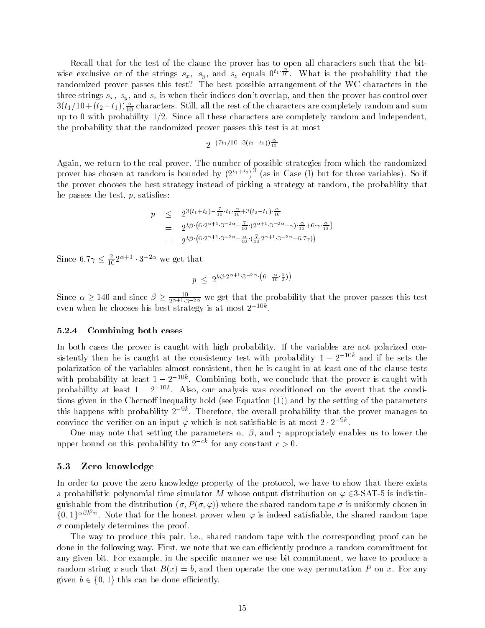Recall that for the test of the clause the prover has to open all characters such that the bitwise exclusive or of the strings  $s_x$ ,  $s_y$ , and  $s_z$  equals  $0^{t_1}$   $\overline{10}$ . What is the probability that the randomized prover passes this test? The best possible arrangement of the WC characters in the three strings  $s_x$ ,  $s_y$ , and  $s_z$  is when their indices don't overlap, and then the prover has control over  $\mathfrak{sl}(t_1/10 + (t_2-t_1))\frac{\tau_0}{10}$  characters. Still, all the rest of the characters are completely random and sum up to 0 with probability  $1/2$ . Since all these characters are completely random and independent, the probability that the randomized prover passes this test is at most

$$
2^{-(7t_1/10-3(t_2-t_1))\frac{\alpha}{10}}
$$

Again we return to the real prover The number of possible strategies from which the randomized prover has chosen at random is bounded by  $(2^{t_1+t_2})^{\circ}$  (as in Case (I) but for three variables). So if the prover chooses the best strategy instead of picking a strategy at random the probability that he passes the test,  $p$ , satisfies:

$$
p \leq 2^{3(t_1+t_2)-\frac{7}{10}\cdot t_1\cdot\frac{\alpha}{10}+3(t_2-t_1)\cdot\frac{\alpha}{10}}= 2^{k\beta\cdot(6\cdot2^{\alpha+1}\cdot3^{-2\alpha}-\frac{7}{10}\cdot(2^{\alpha+1}\cdot3^{-2\alpha}-\gamma)\cdot\frac{\alpha}{10}+6\cdot\gamma\cdot\frac{\alpha}{10})}= 2^{k\beta\cdot(6\cdot2^{\alpha+1}\cdot3^{-2\alpha}-\frac{\alpha}{10}\cdot(\frac{7}{10}2^{\alpha+1}\cdot3^{-2\alpha}-6.7\gamma))}
$$

Since  $6.7\gamma \leq \frac{2}{10}2^{\alpha+1} \cdot 3^{-2\alpha}$  we get that -

$$
p \leq 2^{k\beta \cdot 2^{\alpha+1} \cdot 3^{-2\alpha} \cdot \left(6 - \frac{\alpha}{10} \cdot \frac{1}{2}\right)}
$$

Since  $\alpha \ge 140$  and since  $\beta \ge \frac{10}{2\alpha+1\cdot 3^{-2\alpha}}$  we get that the probability that the prover passes this test even when he chooses his best strategy is at most  $\textbf{z} = \textbf{w}$ .

### Combining both cases

In both cases the prover is caught with high probability. If the variables are not polarized con $s$ istently then he is caught at the consistency test with probability  $1 - 2$  . The and if he sets the polarization of the variables almost consistent, then he is caught in at least one of the clause tests with probability at least  $1 - Z^{-\epsilon \omega}$ . Combining both, we conclude that the prover is caught with probability at least  $1 - z$  . The Also, our analysis was conditioned on the event that the conditions given in the Cherno inequality hold  $\{z\}$  in the  $\{z\}$  and  $\{z\}$  and  $\{z\}$  are setting of the parameters this happens with probability  $z \in$  . Therefore, the overall probability that the prover manages to convince the verifier on an input  $\varphi$  which is not satisfiable is at most  $\it z$  -  $\it z$  -  $\it z$  -

One may note that setting the parameters  $\alpha$ ,  $\beta$ , and  $\gamma$  appropriately enables us to lower the upper bound on this probability to  $z^{\pm}$  for any constant  $c > 0$ .

### 5.3 Zero knowledge

In order to prove the zero knowledge property of the protocol, we have to show that there exists a probabilistic polynomial time simulator M whose output distribution on  $\varphi$   $\in$ 3-SAT-5 is indistin- $\alpha$  -chosen the distribution of  $\alpha$  ,  $\alpha$  ,  $\alpha$  ,  $\beta$  ,  $\beta$  ,  $\beta$  ,  $\beta$  ,  $\beta$  ,  $\beta$  ,  $\beta$  ,  $\beta$  ,  $\alpha$  ,  $\beta$  ,  $\beta$  ,  $\beta$  ,  $\beta$  ,  $\beta$  ,  $\beta$  ,  $\beta$  ,  $\beta$  ,  $\beta$  ,  $\beta$  ,  $\beta$  ,  $\beta$  ,  $\beta$  ,  $\beta$  ,  $\beta$  ,  $\{0,1\}^{\alpha\beta k^2n}$ . Note that for the honest prover when  $\varphi$  is indeed satisfiable, the shared random tape - completely determines the proof

The way to produce this pair, i.e., shared random tape with the corresponding proof can be done in the following way. First, we note that we can efficiently produce a random commitment for any given bit. For example, in the specific manner we use bit commitment, we have to produce a random string x such that B  $\{x_i\}$  . The one way permutation permutation P on  $\alpha$  and  $\alpha$ given  $b \in \{0, 1\}$  this can be done efficiently.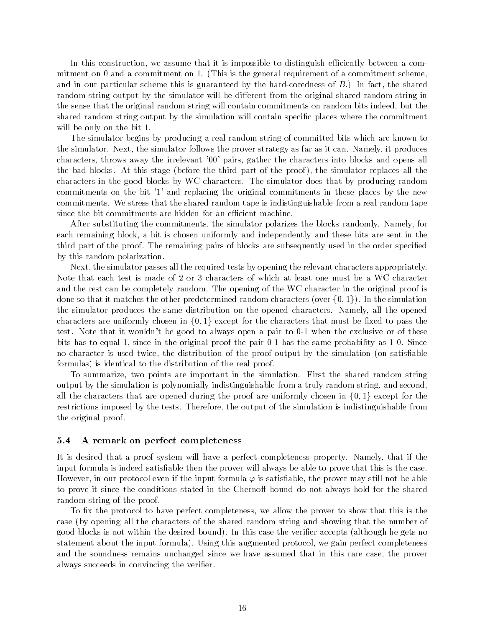In this construction, we assume that it is impossible to distinguish efficiently between a commitment on 0 and a commitment on 1. (This is the general requirement of a commitment scheme. and in our particular scheme this is guaranteed by the hard-defended by the hard-particular sharedrandom string output by the simulator will be different from the original shared random string in the sense that the original random string will contain commitments on random bits indeed, but the shared random string output by the simulation will contain specific places where the commitment will be only on the bit 1.

The simulator begins by producing a real random string of committed bits which are known to the simulator. Next, the simulator follows the prover strategy as far as it can. Namely, it produces characters, throws away the irrelevant '00' pairs, gather the characters into blocks and opens all the bad blocks at this stage  $\mu$  this international part of the proof, the simulator replaces all the components characters in the good blocks by WC characters The simulator does that by producing random commitments on the bit '1' and replacing the original commitments in these places by the new commitments We stress that the shared random tape is indistinguishable from a real random tape since the bit commitments are hidden for an efficient machine.

After substituting the commitments, the simulator polarizes the blocks randomly. Namely, for each remaining block a bit is chosen uniformly and independently and these bits are sent in the third part of the proof. The remaining pairs of blocks are subsequently used in the order specified by this random polarization

Next the simulator passes all the required tests by opening the relevant characters appropriately Note that each test is made of 2 or 3 characters of which at least one must be a WC character and the rest can be completely random. The opening of the WC character in the original proof is done so that it matches the other predetermined random characters (over  $\{0,1\}).$  In the simulation the simulator produces the same distribution on the opened characters Namely all the opened characters are uniformly chosen in  $\{0,1\}$  except for the characters that must be fixed to pass the test that it would be good to always open a pair to always the exclusive or to the exclusive or of the exclusive  $\mathbf{A}$  since in the original probability as - the same probability as - the same probability as - the same probability as - the same probability as - the same probability as - the same probability as - the same probabil no character is used twice, the distribution of the proof output by the simulation (on satisfiable formulas is identical to the distribution of the real proof

To summarize, two points are important in the simulation. First the shared random string output by the simulation is polynomially indistinguishable from a truly random string, and second. all the characters that are opened during the proof are uniformly chosen in  $\{0,1\}$  except for the restrictions imposed by the tests. Therefore, the output of the simulation is indistinguishable from the original proof

### 5.4 A remark on perfect completeness

It is desired that a proof system will have a perfect completeness property. Namely, that if the input formula is indeed satisfiable then the prover will always be able to prove that this is the case. However, in our protocol even if the input formula  $\varphi$  is satisfiable, the prover may still not be able to prove it since the conditions stated in the Chernoff bound do not always hold for the shared random string of the proof

To fix the protocol to have perfect completeness, we allow the prover to show that this is the case (by opening all the characters of the shared random string and showing that the number of  $\mathbf{I}$ statement about the input formula collection and the independent protocol we gain perfect completeness. and the soundness remains unchanged since we have assumed that in this rare case, the prover always succeeds in convincing the verifier.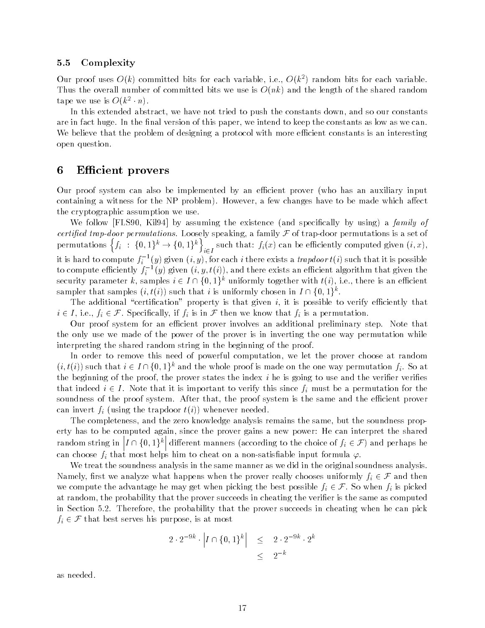### 5.5 Complexity

Our proof uses  $O(\kappa)$  committed bits for each variable, i.e.,  $O(\kappa^+)$  random bits for each variable.  $T$  is  $\mathcal{L}$  and the shared random is  $\mathcal{L}$  the shared random is  $\mathcal{L}$  the shared random is  $\mathcal{L}$ tape we use is  $\mathcal{O}(k^+ \cdot n)$ .

In this extended abstract, we have not tried to push the constants down, and so our constants are in fact huge. In the final version of this paper, we intend to keep the constants as low as we can. We believe that the problem of designing a protocol with more efficient constants is an interesting open question

## 6 Efficient provers

Our proof system can also be implemented by an efficient prover (who has an auxiliary input containing a witness for the NP problem, with the NP problem and the made which are made which a the cryptographic assumption we use

which is the function function of the existence of the special specialists of the special special special special certified trap-door permutations. Loosely speaking, a family F of trap-door permutations is a set of permutations  $\{f_i \; : \; \{0,1\}^k \to \{0,1\}^k\}$  such that:  $f_i(x)$  can be efficiently computed given  $(i,x),$ it is hard to compute  $f_i^{-1}(y)$  given  $(i, y)$ , for each  $i$  there exists a *trapdoor t* $(i)$  such that it is possible to compute emciently  $f_i^{-1}(y)$  given  $(\imath, y, \imath(\imath))$ , and there exists an emcient algorithm that given the security parameter k, samples  $i \in I \cap \{0,1\}^k$  uniformly together with  $t(i),$  i.e., there is an efficient sampler that samples  $(i, t(i))$  such that  $i$  is uniformly chosen in  $I \cap \{0,1\}^k$ .

The additional "certification" property is that given i, it is possible to verify efficiently that  $i \in I$ , i.e.,  $f_i \in \mathcal{F}$ . Specifically, if  $f_i$  is in  $\mathcal F$  then we know that  $f_i$  is a permutation.

Our proof system for an efficient prover involves an additional preliminary step. Note that the only use we made of the power of the prover is in inverting the one way permutation while interpreting the shared random string in the beginning of the proof

In order to remove this need of powerful computation, we let the prover choose at random  $(i,t(i))$  such that  $i\in I\cap \{0,1\}^k$  and the whole proof is made on the one way permutation  $f_i.$  So at the beginning of the proof, the prover states the index  $i$  he is going to use and the verifier verifies that indeed  $i \in I$ . Note that it is important to verify this since  $f_i$  must be a permutation for the soundness of the proof system. After that, the proof system is the same and the efficient prover can invert fi landet word trade and the transverse inverter.

The completeness, and the zero knowledge analysis remains the same, but the soundness property has to be computed again, since the prover gains a new power: He can interpret the shared random string in  $\left|I\cap\{0,1\}^k\right|$  different manners (according to the choice of  $f_i\in\mathcal{F}$ ) and perhaps he can choose fit that most helps him to cheat on a non-cheater intervalses input formulas  $\mu$  .

We treat the soundness analysis in the same manner as we did in the original soundness analysis Namely, first we analyze what happens when the prover really chooses uniformly  $f_i \in \mathcal{F}$  and then we compute the advantage he may get when picking the best possible  $f_i \in \mathcal{F}$ . So when  $f_i$  is picked at random, the probability that the prover succeeds in cheating the verifier is the same as computed in Section 5.2. Therefore, the probability that the prover succeeds in cheating when he can pick  $f_i \in \mathcal{F}$  that best serves his purpose, is at most

$$
2 \cdot 2^{-9k} \cdot \left| I \cap \{0, 1\}^k \right| \leq 2 \cdot 2^{-9k} \cdot 2^k
$$
  

$$
\leq 2^{-k}
$$

as needed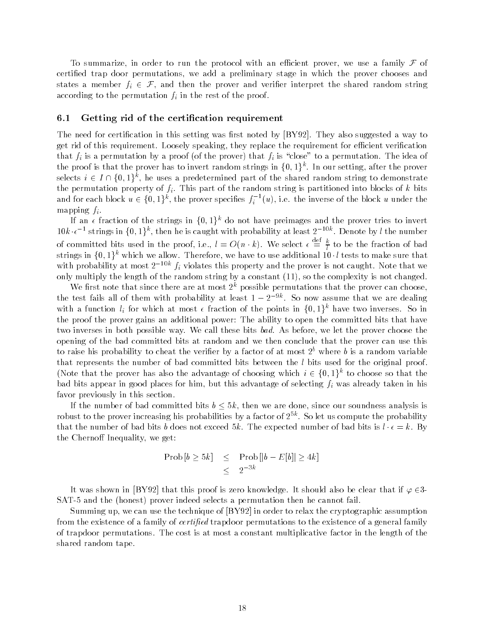To summarize, in order to run the protocol with an efficient prover, we use a family  ${\mathcal F}$  of certified trap door permutations, we add a preliminary stage in which the prover chooses and states a member  $f_i \in \mathcal{F}$ , and then the prover and verifier interpret the shared random string according to the permutation  $f_i$  in the rest of the proof.

#### 6.1 Getting rid of the certification requirement

The need for certification in this setting was first noted by  $[BY92]$ . They also suggested a way to get rid of this requirement. Loosely speaking, they replace the requirement for efficient verification that fixed a permutation by a prover (  $\sim$  the idea of the idea of  $\mu$  is close to a permutation The idea of the proof is that the prover has to invert random strings in  $\{0,1\}^k.$  In our setting, after the prover selects  $i \in I \cap \{0,1\}^k$ , he uses a predetermined part of the shared random string to demonstrate the permutation property of  $f_i$ . This part of the random string is partitioned into blocks of k bits and for each block  $u \in \{0,1\}^k,$  the prover specifies  $f_i^{-1}(u),$  i.e. the inverse of the block  $u$  under the mapping  $f_i$ .

If an  $\epsilon$  fraction of the strings in  $\{0,1\}^k$  do not have preimages and the prover tries to invert 10k  $\epsilon^{-1}$  strings in  $\{0,1\}^k$ , then he is caught with probability at least  $2^{-10k}$ . Denote by  $l$  the number of committed bits used in the proof, i.e.,  $l = O(n \cdot k)$ . We select  $\epsilon \equiv \frac{\kappa}{l}$  to be the fraction of bad<br>strings in  $\{0,1\}^k$  which we allow. Therefore, we have to use additional 10  $\cdot l$  tests to make sure that with probability at most  $z^{-1}$   $j_i$  violates this property and the prover is not caught. Note that we only multiply the length of the random string by a constant  $\alpha$  and the complexity is not changed.

We first note that since there are at most  $2^k$  possible permutations that the prover can choose. the test fails all of them with probability at least  $1 - 2$  . So now assume that we are dealing with a function  $l_i$  for which at most  $\epsilon$  fraction of the points in  $\{0,1\}^k$  have two inverses. So in the proof the prover gains an additional power The ability to open the committed bits that have two inverses in both possible way. We call these bits *bad*. As before, we let the prover choose the opening of the bad committed bits at random and we then conclude that the prover can use this to raise his probability to cheat the verifier by a factor of at most  $2<sup>b</sup>$  where b is a random variable that represents the number of bad committed bits between the  $l$  bits used for the original proof. (Note that the prover has also the advantage of choosing which  $i \in \{0,1\}^k$  to choose so that the bad bits appear in good places for him, but this advantage of selecting  $f_i$  was already taken in his favor previously in this section

If the number of bad committed bits  $b \leq 5k$ , then we are done, since our soundness analysis is robust to the prover increasing his probabilities by a factor of  $2^{++}$ . So let us compute the probability  $\pm$ that the number of bad bits b does not exceed 5k. The expected number of bad bits is  $l \cdot \epsilon = k$ . By the Chernoff Inequality, we get:

$$
\begin{array}{rcl}\n\text{Prob}\left[b \geq 5k\right] & \leq & \text{Prob}\left[\left|b - E[b]\right| \geq 4k\right] \\
& \leq & 2^{-3k}\n\end{array}
$$

It was shown in [BY92] that this proof is zero knowledge. It should also be clear that if  $\varphi \in 3$ -SAT- and the honest prover indeed selects a permutation then he cannot fail

Summing up, we can use the technique of  $[BY92]$  in order to relax the cryptographic assumption from the existence of a family of certi-ed trapdoor permutations to the existence of a general family of trapdoor permutations The cost is at most a constant multiplicative factor in the length of the shared random tape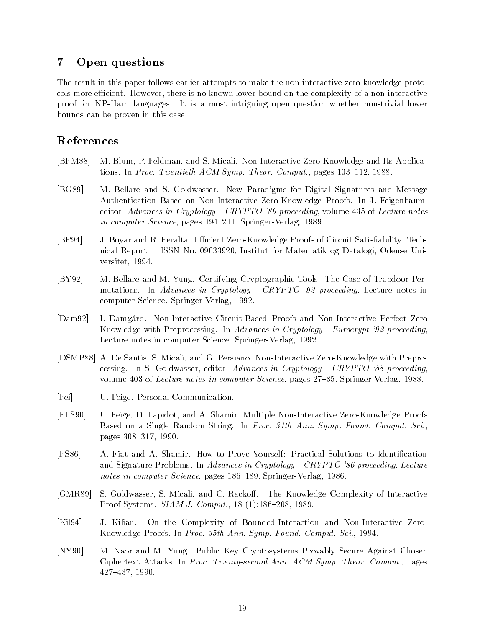# Open questions

The result in this paper follows earlier attempts to make the non-interactive zero-knowledge protocols more e
cient However there is no known lower bound on the complexity of a non-interactive proof for NP-Hard languages It is a most intriguing open question whether non-trivial lower bounds can be proven in this case

# References

- BFM M Blum P Feldman and S Micali Non-Interactive Zero Knowledge and Its Applications. In Proc. Twentieth ACM Symp. Theor. Comput., pages  $103-112$ ,  $1988$ .
- [BG89] M. Bellare and S. Goldwasser. New Paradigms for Digital Signatures and Message Authentication Based on Non-Interactive Zero-Knowledge Proofs In J Feigenbaum editor, Advances in Cryptology - CRYPTO  $39$  proceeding, volume 435 of Lecture notes in computer statistic pages as a again passager-computered to
- BP J Boyar and R Peralta E
cient Zero-Knowledge Proofs of Circuit Satisability Technical Report 1, ISSN No. 09033920, Institut for Matematik og Datalogi, Odense Universitet, 1994.
- [BY92] M. Bellare and M. Yung. Certifying Cryptographic Tools: The Case of Trapdoor Permutations. In Advances in Cryptology - CRYPTO  $32$  proceeding, Lecture notes in computer Science Springer-Springer-Springer-Springer-Springer-Springer-Springer-Springer-Springer-Springer-Spr
- Dam I Damg!ard Non-Interactive Circuit-Based Proofs and Non-Interactive Perfect Zero Knowledge with Preprocessing. In Advances in Cryptology - Eurocrypt '92 proceeding. Lecture notes in computer Science Springer-Verlag
- DSMP A De Santis S Micali and G Persiano Non-Interactive Zero-Knowledge with Preprocessing. In S. Goldwasser, editor, Advances in Cryptology - CRYPTO '88 proceeding volume  of Lecture notes in computer Science pages Springer-Verlag
- [Fei] U. Feige. Personal Communication.
- r and a shamir man a shamir multiple and a shamir multiple and a shamir multiple and a shamir man a shamir m Based on a Single Random String. In Proc. 31th Ann. Symp. Found. Comput. Sci., pages 308-317, 1990.
- [FS86] A. Fiat and A. Shamir. How to Prove Yourself: Practical Solutions to Identification and Signature Problems. In Advances in Cryptology -  $CRYPTO$  '86 proceeding, Lecture notes in computer Science pages Springer-Verlag
- [GMR89] S. Goldwasser, S. Micali, and C. Rackoff. The Knowledge Complexity of Interactive Province Systems Street Computer (Province Province )
- Kil J Kilian On the Complexity of Bounded-Interaction and Non-Interactive Zero- $\mathcal{N}$  . The Proofs In Proofs In Proofs In Proofs In Proofs In Proofs In Proofs In Proofs In Proofs In Proofs In Proofs In Proofs In Proofs In Proofs In Proofs In Proofs In Proofs In Proofs In Proofs In Proofs In Proofs
- [NY90] M. Naor and M. Yung. Public Key Cryptosystems Provably Secure Against Chosen Ciphertext Attacks. In Proc. Twenty-second Ann. ACM Symp. Theor. Comput., pages 427-437, 1990.